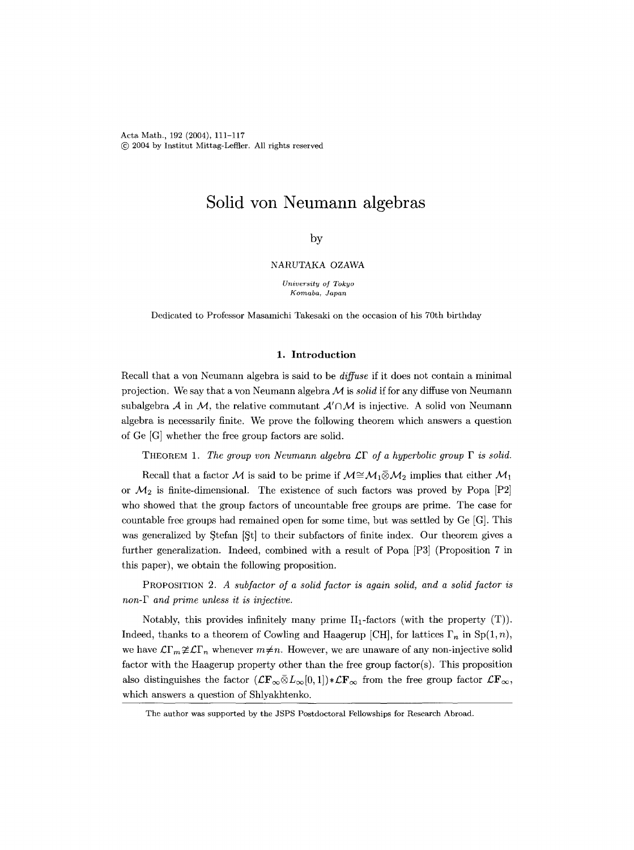Acta Math., 192 (2004), 111-117 @ 2004 by institut Mittag-Leflter. All rights reserved

# **Solid yon Neumann algebras**

# by

## NARUTAKA OZAWA

*University of Tokyo Komaba, Japan* 

Dedicated to Professor Masamichi Takesaki on the occasion of his 70th birthday

## **1. Introduction**

Recall that a von Neumann algebra is said to be *diffuse* if it does not contain a minimal projection. We say that a yon Neumann algebra  $\mathcal M$  is *solid* if for any diffuse von Neumann subalgebra  $A$  in  $M$ , the relative commutant  $A' \cap M$  is injective. A solid von Neumann algebra is necessarily finite. We prove the following theorem which answers a question of Ge [G] whether the free group factors are solid.

THEOREM 1. The group von Neumann algebra  $\mathcal{L}\Gamma$  of a hyperbolic group  $\Gamma$  is solid.

Recall that a factor M is said to be prime if  $M \cong M_1 \bar{\otimes} M_2$  implies that either  $M_1$ or  $\mathcal{M}_2$  is finite-dimensional. The existence of such factors was proved by Popa [P2] who showed that the group factors of uncountable free groups are prime. The case for countable free groups had remained open for some time, but was settled by Ce [G]. This was generalized by  $\text{Stefan } [St]$  to their subfactors of finite index. Our theorem gives a further generalization. Indeed, combined with a result of Popa [P3] (Proposition 7 in this paper), we obtain the following proposition.

PROPOSITION *2. A subfactor of a solid factor is again solid, and a solid factor is non-F and prime unless it is injective.* 

Notably, this provides infinitely many prime  $II_1$ -factors (with the property  $(T)$ ). Indeed, thanks to a theorem of Cowling and Haagerup [CH], for lattices  $\Gamma_n$  in Sp(1, n), we have  $\mathcal{L}\Gamma_m \not\cong \mathcal{L}\Gamma_n$  whenever  $m\neq n$ . However, we are unaware of any non-injective solid factor with the Haagerup property other than the free group factor(s). This proposition also distinguishes the factor  $(\mathcal{L} \mathbf{F}_{\infty} \bar{\otimes} L_{\infty}[0,1]) * \mathcal{L} \mathbf{F}_{\infty}$  from the free group factor  $\mathcal{L} \mathbf{F}_{\infty}$ , which answers a question of Shlyakhtenko.

The author was supported by the JSPS Postdoctoral Fellowships for Research Abroad.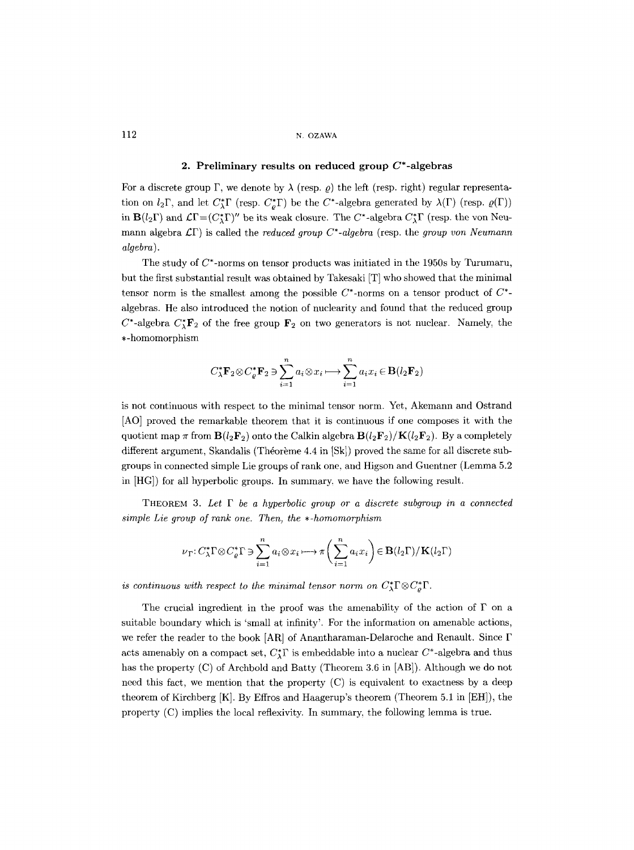# 112 N. OZAWA

## 2. Preliminary results on reduced group  $C^*$ -algebras

For a discrete group  $\Gamma$ , we denote by  $\lambda$  (resp.  $\rho$ ) the left (resp. right) regular representation on  $l_2\Gamma$ , and let  $C^*_{\lambda}\Gamma$  (resp.  $C^*_{\rho}\Gamma$ ) be the  $C^*$ -algebra generated by  $\lambda(\Gamma)$  (resp.  $\varrho(\Gamma)$ ) in  $\mathbf{B}(l_2\Gamma)$  and  $\mathcal{L}\Gamma = (C^*_{\Lambda}\Gamma)'$  be its weak closure. The C\*-algebra  $C^*_{\Lambda}\Gamma$  (resp. the von Neumann algebra  $\mathcal{L}\Gamma$ ) is called the *reduced group*  $C^*$ -*algebra* (resp. the *group yon Neumann algebra).* 

The study of  $C^*$ -norms on tensor products was initiated in the 1950s by Turumaru, but the first substantial result was obtained by Takesaki [T] who showed that the minimal tensor norm is the smallest among the possible  $C^*$ -norms on a tensor product of  $C^*$ algebras. He also introduced the notion of nuclearity and found that the reduced group  $C^*$ -algebra  $C^*_{\lambda}$ **F**<sub>2</sub> of the free group **F**<sub>2</sub> on two generators is not nuclear. Namely, the ,-homomorphism

$$
C_{\lambda}^* \mathbf{F}_2 \otimes C_{\varrho}^* \mathbf{F}_2 \ni \sum_{i=1}^n a_i \otimes x_i \longmapsto \sum_{i=1}^n a_i x_i \in \mathbf{B}(l_2 \mathbf{F}_2)
$$

is not continuous with respect to the minimal tensor norm. Yet, Akemann and Ostrand [AO] proved the remarkable theorem that it is continuous if one composes it with the quotient map  $\pi$  from **B**( $l_2$ **F**<sub>2</sub>) onto the Calkin algebra **B**( $l_2$ **F**<sub>2</sub>)/**K**( $l_2$ **F**<sub>2</sub>). By a completely different argument, Skandalis (Théorème 4.4 in  $|Sk|$ ) proved the same for all discrete subgroups in connected simple Lie groups of rank one, and Higson and Guentner (Lemma 5.2 in [HG]) for all hyperbolic groups. In summary, we have the following result.

THEOREM 3. *Let F be a hyperbolic group or a discrete subgroup in a connected simple Lie group of rank one. Then, the \*-homomorphism* 

$$
\nu_{\Gamma} : C_{\lambda}^{*} \Gamma \otimes C_{\varrho}^{*} \Gamma \ni \sum_{i=1}^{n} a_{i} \otimes x_{i} \longmapsto \pi \bigg(\sum_{i=1}^{n} a_{i} x_{i}\bigg) \in \mathbf{B}(l_{2} \Gamma)/\mathbf{K}(l_{2} \Gamma)
$$

*is continuous with respect to the minimal tensor norm on*  $C^*_{\lambda} \Gamma \otimes C^*_{\rho} \Gamma$ .

The crucial ingredient in the proof was the amenability of the action of  $\Gamma$  on a suitable boundary which is 'small at infinity'. For the information on amenable actions, we refer the reader to the book  $[AR]$  of Anantharaman-Delaroche and Renault. Since  $\Gamma$ acts amenably on a compact set,  $C_{\lambda}^{*}\Gamma$  is embeddable into a nuclear  $C^{*}$ -algebra and thus has the property (C) of Archbold and Batty (Theorem 3.6 in [AB]). Although we do not need this fact, we mention that the property  $(C)$  is equivalent to exactness by a deep theorem of Kirchberg  $[K]$ . By Effros and Haagerup's theorem (Theorem 5.1 in  $[EH]$ ), the property (C) implies the local reflexivity. In summary, the following lemma is true.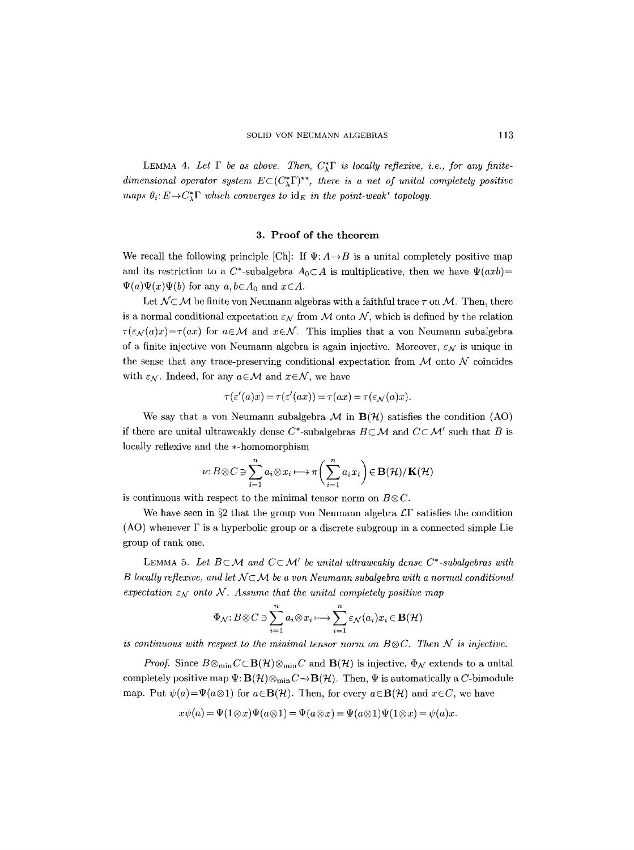LEMMA 4. Let  $\Gamma$  be as above. Then,  $C^*_{\mathcal{I}} \Gamma$  is locally reflexive, i.e., for any finite*dimensional operator system*  $E\subset (C^*_{\bullet}\Gamma)^{**}$ , there is a net of unital completely positive *maps*  $\theta_i: E \to C^*_{\lambda}$  *which converges to*  $\text{id}_E$  *in the point-weak\* topology.* 

### 3. Proof of the theorem

We recall the following principle [Ch]: If  $\Psi: A \rightarrow B$  is a unital completely positive map and its restriction to a  $C^*$ -subalgebra  $A_0 \subset A$  is multiplicative, then we have  $\Psi(axb)$ =  $\Psi(a)\Psi(x)\Psi(b)$  for any  $a, b \in A_0$  and  $x \in A$ .

Let  $\mathcal{N} \subset \mathcal{M}$  be finite von Neumann algebras with a faithful trace  $\tau$  on  $\mathcal{M}$ . Then, there is a normal conditional expectation  $\varepsilon_N$  from M onto N, which is defined by the relation  $\tau(\varepsilon_{\mathcal{N}}(a)x)=\tau(ax)$  for  $a\in\mathcal{M}$  and  $x\in\mathcal{N}$ . This implies that a von Neumann subalgebra of a finite injective von Neumann algebra is again injective. Moreover,  $\varepsilon_N$  is unique in the sense that any trace-preserving conditional expectation from  $\mathcal M$  onto  $\mathcal N$  coincides with  $\varepsilon_N$ . Indeed, for any  $a \in \mathcal{M}$  and  $x \in \mathcal{N}$ , we have

$$
\tau(\varepsilon'(a)x) = \tau(\varepsilon'(ax)) = \tau(ax) = \tau(\varepsilon_N(a)x).
$$

We say that a von Neumann subalgebra  $\mathcal M$  in  $B(\mathcal H)$  satisfies the condition (AO) if there are unital ultraweakly dense  $C^*$ -subalgebras  $B \subset \mathcal{M}$  and  $C \subset \mathcal{M}'$  such that B is locally reflexive and the \*-homomorphism

$$
\nu: B \otimes C \ni \sum_{i=1}^{n} a_i \otimes x_i \longmapsto \pi \bigg(\sum_{i=1}^{n} a_i x_i\bigg) \in \mathbf{B}(\mathcal{H})/\mathbf{K}(\mathcal{H})
$$

is continuous with respect to the minimal tensor norm on  $B \otimes C$ .

We have seen in §2 that the group von Neumann algebra  $\mathcal{L}\Gamma$  satisfies the condition  $(AO)$  whenever  $\Gamma$  is a hyperbolic group or a discrete subgroup in a connected simple Lie group of rank one.

LEMMA 5. Let  $B \subset \mathcal{M}$  and  $C \subset \mathcal{M}'$  be unital ultraweakly dense  $C^*$ -subalgebras with *B locally reflexive, and let*  $N \subset \mathcal{M}$  be a von Neumann subalgebra with a normal conditional expectation  $\varepsilon_N$  onto N. Assume that the unital completely positive map

$$
\Phi_{\mathcal{N}}: B \otimes C \ni \sum_{i=1}^{n} a_i \otimes x_i \longmapsto \sum_{i=1}^{n} \varepsilon_{\mathcal{N}}(a_i) x_i \in \mathbf{B}(\mathcal{H})
$$

*is continuous with respect to the minimal tensor norm on*  $B \otimes C$ *. Then N is injective.* 

*Proof.* Since  $B \otimes_{\min} C \subset \mathbf{B}(\mathcal{H}) \otimes_{\min} C$  and  $\mathbf{B}(\mathcal{H})$  is injective,  $\Phi_{\mathcal{N}}$  extends to a unital completely positive map  $\Psi: \mathbf{B}(\mathcal{H}) \otimes_{\min} C \to \mathbf{B}(\mathcal{H})$ . Then,  $\Psi$  is automatically a C-bimodule map. Put  $\psi(a) = \Psi(a \otimes 1)$  for  $a \in \mathbf{B}(\mathcal{H})$ . Then, for every  $a \in \mathbf{B}(\mathcal{H})$  and  $x \in C$ , we have

$$
x\psi(a) = \Psi(1\otimes x)\Psi(a\otimes 1) = \Psi(a\otimes x) = \Psi(a\otimes 1)\Psi(1\otimes x) = \psi(a)x
$$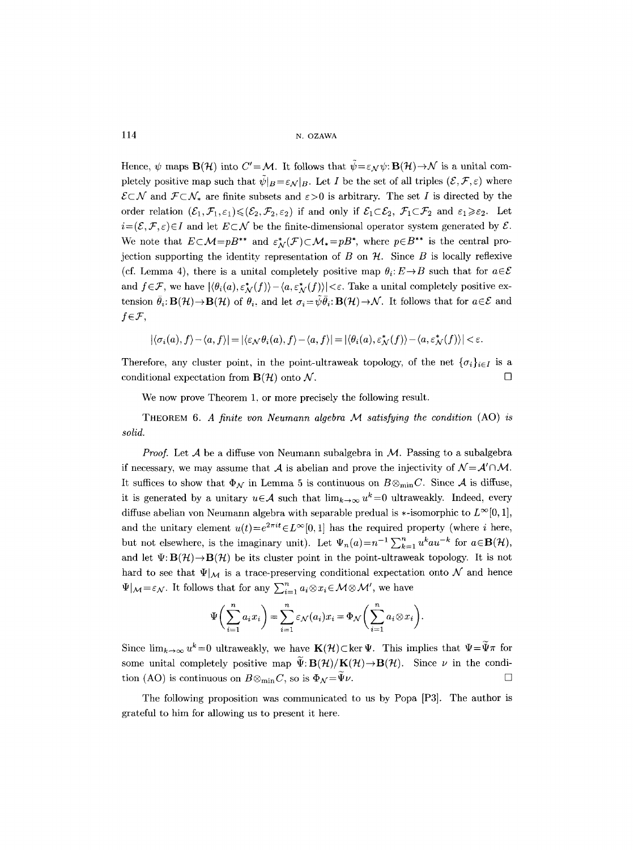114 N. OZAWA

Hence,  $\psi$  maps  $\mathbf{B}(\mathcal{H})$  into  $C'=\mathcal{M}$ . It follows that  $\tilde{\psi}=\varepsilon_N\psi:\mathbf{B}(\mathcal{H})\to\mathcal{N}$  is a unital completely positive map such that  $\tilde{\psi}|_B = \varepsilon_{\mathcal{N}}|_B$ . Let I be the set of all triples  $(\mathcal{E}, \mathcal{F}, \varepsilon)$  where  $\mathcal{E}\subset\mathcal{N}$  and  $\mathcal{F}\subset\mathcal{N}_*$  are finite subsets and  $\epsilon>0$  is arbitrary. The set I is directed by the order relation  $(\mathcal{E}_1, \mathcal{F}_1, \varepsilon_1) \leq (\mathcal{E}_2, \mathcal{F}_2, \varepsilon_2)$  if and only if  $\mathcal{E}_1 \subset \mathcal{E}_2$ ,  $\mathcal{F}_1 \subset \mathcal{F}_2$  and  $\varepsilon_1 \geq \varepsilon_2$ . Let  $i=(\mathcal{E},\mathcal{F},\varepsilon)\in I$  and let  $E\subset \mathcal{N}$  be the finite-dimensional operator system generated by  $\mathcal{E}.$ We note that  $E \subset \mathcal{M}=pB^{**}$  and  $\varepsilon_N^*(\mathcal{F}) \subset \mathcal{M}_* = pB^*$ , where  $p \in B^{**}$  is the central projection supporting the identity representation of B on  $\mathcal{H}$ . Since B is locally reflexive (cf. Lemma 4), there is a unital completely positive map  $\theta_i: E \to B$  such that for  $a \in \mathcal{E}$ and  $f \in \mathcal{F}$ , we have  $|\langle \theta_i(a), \varepsilon^*_{\mathcal{N}}(f) \rangle - \langle a, \varepsilon^*_{\mathcal{N}}(f) \rangle| < \varepsilon$ . Take a unital completely positive extension  $\bar{\theta}_i: \mathbf{B}(\mathcal{H}) \to \mathbf{B}(\mathcal{H})$  of  $\theta_i$ , and let  $\sigma_i = \tilde{\psi} \bar{\theta}_i: \mathbf{B}(\mathcal{H}) \to \mathcal{N}$ . It follows that for  $a \in \mathcal{E}$  and  $f \in \mathcal{F}$ ,

$$
|\langle \sigma_i(a), f\rangle - \langle a, f\rangle| = |\langle \varepsilon_\mathcal{N} \theta_i(a), f\rangle - \langle a, f\rangle| = |\langle \theta_i(a), \varepsilon_\mathcal{N}^*(f)\rangle - \langle a, \varepsilon_\mathcal{N}^*(f)\rangle| < \varepsilon.
$$

Therefore, any cluster point, in the point-ultraweak topology, of the net  $\{\sigma_i\}_{i\in I}$  is a conditional expectation from  $\mathbf{B}(\mathcal{H})$  onto  $\mathcal{N}$ .

We now prove Theorem 1, or more precisely the following result.

THEOREM *6. A finite yon Neumann algebra M satisfying the condition* (AO) *is solid.* 

*Proof.* Let A be a diffuse von Neumann subalgebra in M. Passing to a subalgebra if necessary, we may assume that A is abelian and prove the injectivity of  $N = A' \cap M$ . It suffices to show that  $\Phi_{\mathcal{N}}$  in Lemma 5 is continuous on  $B \otimes_{\min} C$ . Since A is diffuse, it is generated by a unitary  $u \in \mathcal{A}$  such that  $\lim_{k \to \infty} u^k = 0$  ultraweakly. Indeed, every diffuse abelian von Neumann algebra with separable predual is  $\ast$ -isomorphic to  $L^{\infty}[0,1],$ and the unitary element  $u(t)=e^{2\pi i t}\in L^{\infty}[0, 1]$  has the required property (where i here, but not elsewhere, is the imaginary unit). Let  $\Psi_n(a)=n^{-1}\sum_{k=1}^n u^k a u^{-k}$  for  $a\in \mathbf{B}(\mathcal{H})$ , and let  $\Psi: B(\mathcal{H})\to B(\mathcal{H})$  be its cluster point in the point-ultraweak topology. It is not hard to see that  $\Psi|_{\mathcal{M}}$  is a trace-preserving conditional expectation onto N and hence  $\Psi|_{\mathcal{M}}=\varepsilon_{\mathcal{N}}$ . It follows that for any  $\sum_{i=1}^n a_i\otimes x_i\in \mathcal{M}\otimes \mathcal{M}'$ , we have

$$
\Psi\bigg(\sum_{i=1}^n a_i x_i\bigg) = \sum_{i=1}^n \varepsilon_{\mathcal{N}}(a_i) x_i = \Phi_{\mathcal{N}}\bigg(\sum_{i=1}^n a_i \otimes x_i\bigg).
$$

Since  $\lim_{k\to\infty} u^k=0$  ultraweakly, we have  $\mathbf{K}(\mathcal{H})\subset \ker \Psi$ . This implies that  $\Psi=\widetilde{\Psi}\pi$  for some unital completely positive map  $\tilde{\Psi}:B(\mathcal{H})/K(\mathcal{H})\to B(\mathcal{H})$ . Since  $\nu$  in the condition (AO) is continuous on  $B \otimes_{\min} C$ , so is  $\Phi_{\mathcal{N}} = \Psi \nu$ .

The following proposition was communicated to us by Popa [P3]. The author is grateful to him for allowing us to present it here.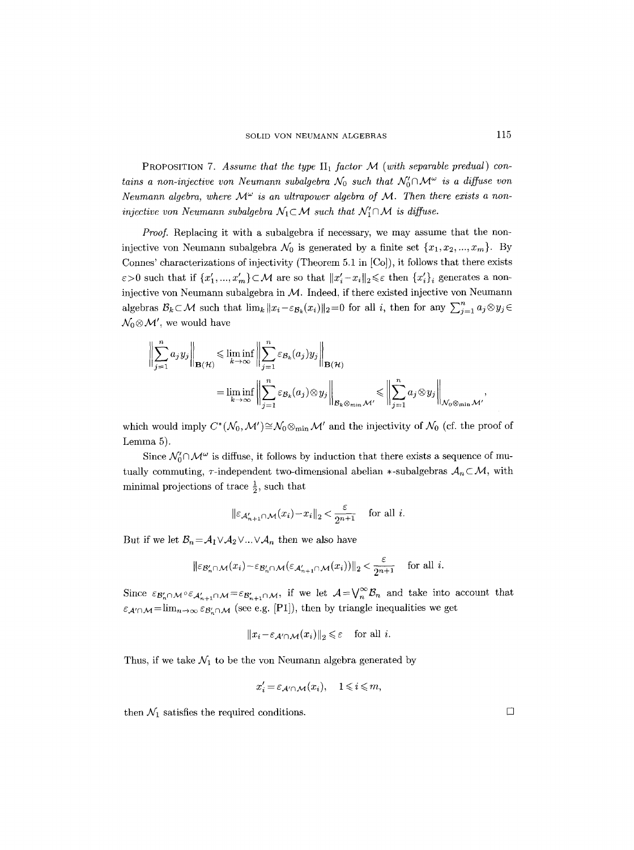PROPOSITION 7. Assume that the type  $\text{II}_1$  factor M (with separable predual) con*tains a non-injective von Neumann subalgebra*  $\mathcal{N}_0$  such that  $\mathcal{N}'_0 \cap \mathcal{M}^\omega$  is a diffuse von *Neumann algebra, where*  $\mathcal{M}^{\omega}$  is an ultrapower algebra of  $\mathcal{M}$ . Then there exists a non*injective von Neumann subalgebra*  $N_1 \subset \mathcal{M}$  such that  $N'_1 \cap \mathcal{M}$  is diffuse.

*Proof.* Replacing it with a subalgebra if necessary, we may assume that the noninjective von Neumann subalgebra  $\mathcal{N}_0$  is generated by a finite set  $\{x_1, x_2, ..., x_m\}$ . By Connes' characterizations of injectivity (Theorem 5.1 in [Co]), it follows that there exists  $\varepsilon > 0$  such that if  $\{x'_1, ..., x'_m\} \subset \mathcal{M}$  are so that  $||x'_i - x_i||_2 \leq \varepsilon$  then  $\{x'_i\}_i$  generates a noninjective von Neumann subalgebra in  $M$ . Indeed, if there existed injective von Neumann algebras  $\mathcal{B}_k \subset \mathcal{M}$  such that  $\lim_k ||x_i - \varepsilon_{\mathcal{B}_k}(x_i)||_2 = 0$  for all *i*, then for any  $\sum_{j=1}^n a_j \otimes y_j \in$  $\mathcal{N}_0 \otimes \mathcal{M}'$ , we would have

$$
\left\| \sum_{j=1}^{n} a_j y_j \right\|_{\mathbf{B}(\mathcal{H})} \leq \liminf_{k \to \infty} \left\| \sum_{j=1}^{n} \varepsilon_{\mathcal{B}_k}(a_j) y_j \right\|_{\mathbf{B}(\mathcal{H})}
$$
  
= 
$$
\liminf_{k \to \infty} \left\| \sum_{j=1}^{n} \varepsilon_{\mathcal{B}_k}(a_j) \otimes y_j \right\|_{\mathcal{B}_k \otimes_{\min} \mathcal{M}'} \leq \left\| \sum_{j=1}^{n} a_j \otimes y_j \right\|_{\mathcal{N}_0 \otimes_{\min} \mathcal{M}'},
$$

which would imply  $C^*(\mathcal{N}_0, \mathcal{M}') \cong \mathcal{N}_0 \otimes_{\min} \mathcal{M}'$  and the injectivity of  $\mathcal{N}_0$  (cf. the proof of Lemma 5).

Since  $\mathcal{N}'_0 \cap \mathcal{M}^\omega$  is diffuse, it follows by induction that there exists a sequence of mutually commuting,  $\tau$ -independent two-dimensional abelian  $*$ -subalgebras  $A_n \subset M$ , with minimal projections of trace  $\frac{1}{2}$ , such that

$$
\|\varepsilon_{\mathcal{A}_{n+1}' \cap \mathcal{M}}(x_i) - x_i\|_2 < \frac{\varepsilon}{2^{n+1}} \quad \text{for all } i.
$$

But if we let  $\mathcal{B}_n = \mathcal{A}_1 \vee \mathcal{A}_2 \vee ... \vee \mathcal{A}_n$  then we also have

$$
\|\varepsilon_{\mathcal{B}'_n\cap\mathcal{M}}(x_i)-\varepsilon_{\mathcal{B}'_n\cap\mathcal{M}}(\varepsilon_{\mathcal{A}'_{n+1}\cap\mathcal{M}}(x_i))\|_2<\frac{\varepsilon}{2^{n+1}}\quad\text{ for all } i.
$$

Since  $\epsilon_{\mathcal{B}'_n\cap\mathcal{M}}\circ\epsilon_{\mathcal{A}'_{n+1}\cap\mathcal{M}}=\epsilon_{\mathcal{B}'_{n+1}\cap\mathcal{M}}$ , if we let  $\mathcal{A}=\bigvee_{n}^{\infty}\mathcal{B}_n$  and take into account that  $\varepsilon_{\mathcal{A}' \cap \mathcal{M}} = \lim_{n \to \infty} \varepsilon_{\mathcal{B}'_n \cap \mathcal{M}}$  (see e.g. [P1]), then by triangle inequalities we get

$$
||x_i - \varepsilon_{\mathcal{A}' \cap \mathcal{M}}(x_i)||_2 \leq \varepsilon \quad \text{for all } i.
$$

Thus, if we take  $\mathcal{N}_1$  to be the von Neumann algebra generated by

$$
x_i' = \varepsilon_{\mathcal{A}' \cap \mathcal{M}}(x_i), \quad 1 \leq i \leq m,
$$

then  $\mathcal{N}_1$  satisfies the required conditions.  $\Box$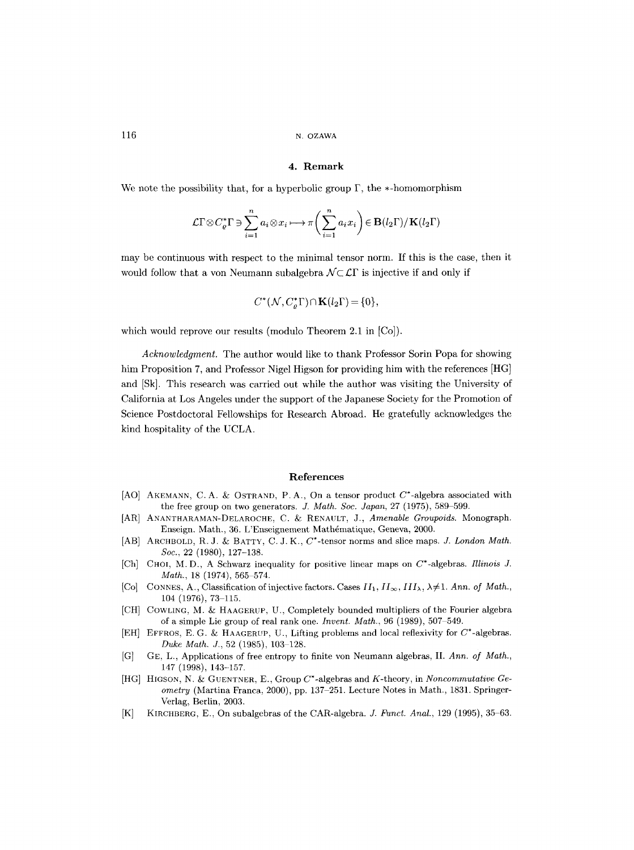116 N. OZAWA

### **4. Remark**

We note the possibility that, for a hyperbolic group  $\Gamma$ , the  $*$ -homomorphism

$$
\mathcal{L}\Gamma \otimes C_{\varrho}^{*}\Gamma \ni \sum_{i=1}^{n} a_{i} \otimes x_{i} \longmapsto \pi \bigg(\sum_{i=1}^{n} a_{i}x_{i}\bigg) \in \mathbf{B}(l_{2}\Gamma)/\mathbf{K}(l_{2}\Gamma)
$$

may be continuous with respect to the minimal tensor norm. If this is the case, then it would follow that a von Neumann subalgebra  $\mathcal{N} \subset \mathcal{L} \Gamma$  is injective if and only if

$$
C^*(\mathcal{N}, C_o^*\Gamma) \cap \mathbf{K}(l_2\Gamma) = \{0\},\
$$

which would reprove our results (modulo Theorem 2.1 in [Co]).

*Acknowledgment.* The author would like to thank Professor Sorin Popa for showing him Proposition 7, and Professor Nigel Higson for providing him with the references [HG] and [Sk]. This research was carried out while the author was visiting the University of California at Los Angeles under the support of the Japanese Society for the Promotion of Science Postdoctoral Fellowships for Research Abroad. He gratefully acknowledges the kind hospitality of the UCLA.

### **References**

- [AO] AKEMANN, C.A. & OSTRAND, P.A., On a tensor product  $C^*$ -algebra associated with the free group on two generators. *J. Math. Soc. Japan*, 27 (1975), 589-599.
- [AR] ANANTHARAMAN-DELAROCHE, C. & RENAULT, J., *Amenable Groupoids*. Monograph. Enseign. Math., 36. L'Enseignement Mathématique, Geneva, 2000.
- [AB] ARCHBOLD, R. J. & BATTY, C. J. K.,  $C^*$ -tensor norms and slice maps. *J. London Math. Soe.,* 22 (1980), 127-138.
- [Ch] CHOI, M.D., A Schwarz inequality for positive linear maps on C\*-algebras. *Illinois J. Math., 18 (1974), 565-574.*
- [Co] CONNES, A., Classification of injective factors. Cases  $II_1$ ,  $II_\infty$ ,  $III_\lambda$ ,  $\lambda \neq 1$ . Ann. of Math.,  $104$  (1976), 73-115.
- [CH] COWLING, M. & HAAGERUP, U., Completely bounded multipliers of the Fourier algebra of a simple Lie group of real rank one. *Invent. Math.*, 96 (1989), 507-549.
- [EH] EFFROS, E. G. & HAAGERUP, U., Lifting problems and local reflexivity for  $C^*$ -algebras. *Duke Math. J.,* 52 (1985), 103-128.
- [G] GE, L., Applications of free entropy to finite von Neumann algebras, II. *Ann. of Math.,*  147 (1998), 143-157.
- [HG] HIGSON, N. &: GUENTNER, E., Group C\*-algebras and K-theory, in *Noncommutative Geometry* (Martina Franca, 2000), pp. 137-251. Lecture Notes in Math., 1831. Springer-Verlag, Berlin, 2003.
- [K] KIRCHBERG, E., On subalgebras of the CAR-algebra. *J. Funet. Anal.,* 129 (1995), 35 63.